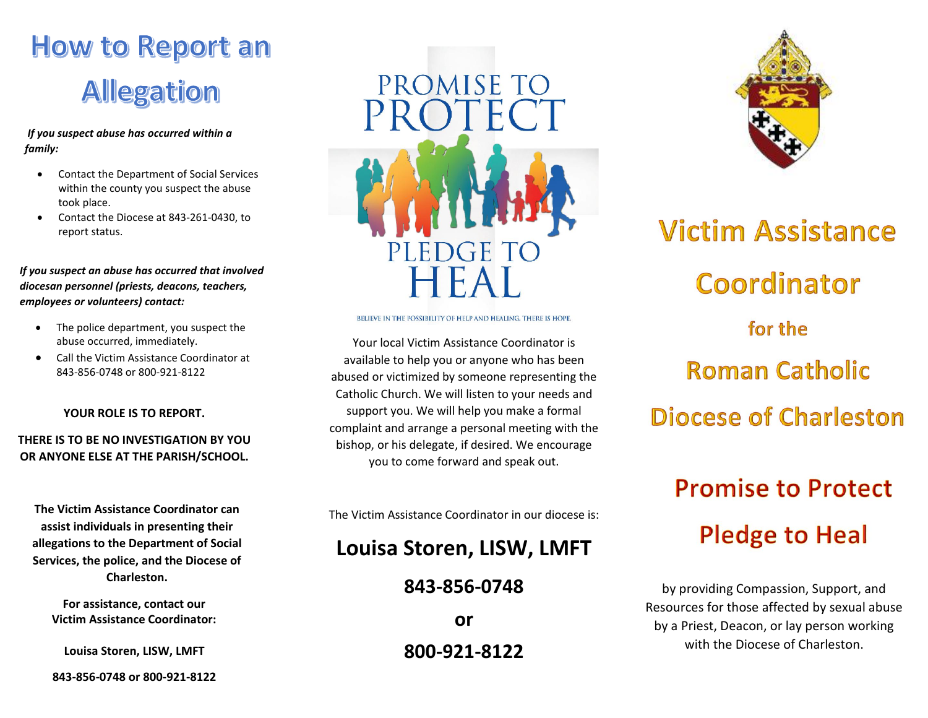## How to Report an **Allegation**

#### *If you suspect abuse has occurred within a family:*

- Contact the Department of Social Services within the county you suspect the abuse took place.
- Contact the Diocese at 843-261-0430, to report status.

 *If you suspect an abuse has occurred that involved diocesan personnel (priests, deacons, teachers, employees or volunteers) contact:*

- The police department, you suspect the abuse occurred, immediately.
- Call the Victim Assistance Coordinator at 843-856-0748 or 800-921-8122

YOUR ROLE IS TO REPORT.

#### THERE IS TO BE NO INVESTIGATION BY YOU OR ANYONE ELSE AT THE PARISH/SCHOOL.

The Victim Assistance Coordinator can assist individuals in presenting their allegations to the Department of Social Services, the police, and the Diocese of Charleston.

For assistance, contact our Victim Assistance Coordinator:

Louisa Storen, LISW, LMFT

843-856-0748 or 800-921-8122



BELIEVE IN THE POSSIBILITY OF HELP AND HEALING. THERE IS HOPE.

Your local Victim Assistance Coordinator is available to help you or anyone who has been abused or victimized by someone representing the Catholic Church. We will listen to your needs and support you. We will help you make a formal complaint and arrange a personal meeting with the bishop, or his delegate, if desired. We encourage you to come forward and speak out.

The Victim Assistance Coordinator in our diocese is:

## Louisa Storen, LISW, LMFT

### 843-856-0748

or 800-921-8122



# **Victim Assistance** Coordinator for the **Roman Catholic** Diocese of Charleston **Promise to Protect Pledge to Heal**

by providing Compassion, Support, and Resources for those affected by sexual abuse by a Priest, Deacon, or lay person working with the Diocese of Charleston.